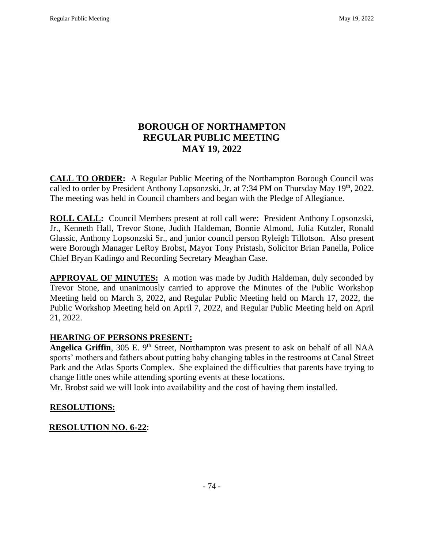# **BOROUGH OF NORTHAMPTON REGULAR PUBLIC MEETING MAY 19, 2022**

**CALL TO ORDER:** A Regular Public Meeting of the Northampton Borough Council was called to order by President Anthony Lopsonzski, Jr. at 7:34 PM on Thursday May 19<sup>th</sup>, 2022. The meeting was held in Council chambers and began with the Pledge of Allegiance.

**ROLL CALL:** Council Members present at roll call were: President Anthony Lopsonzski, Jr., Kenneth Hall, Trevor Stone, Judith Haldeman, Bonnie Almond, Julia Kutzler, Ronald Glassic, Anthony Lopsonzski Sr., and junior council person Ryleigh Tillotson. Also present were Borough Manager LeRoy Brobst, Mayor Tony Pristash, Solicitor Brian Panella, Police Chief Bryan Kadingo and Recording Secretary Meaghan Case.

**APPROVAL OF MINUTES:** A motion was made by Judith Haldeman, duly seconded by Trevor Stone, and unanimously carried to approve the Minutes of the Public Workshop Meeting held on March 3, 2022, and Regular Public Meeting held on March 17, 2022, the Public Workshop Meeting held on April 7, 2022, and Regular Public Meeting held on April 21, 2022.

## **HEARING OF PERSONS PRESENT:**

**Angelica Griffin**, 305 E. 9<sup>th</sup> Street, Northampton was present to ask on behalf of all NAA sports' mothers and fathers about putting baby changing tables in the restrooms at Canal Street Park and the Atlas Sports Complex. She explained the difficulties that parents have trying to change little ones while attending sporting events at these locations.

Mr. Brobst said we will look into availability and the cost of having them installed.

## **RESOLUTIONS:**

## **RESOLUTION NO. 6-22**: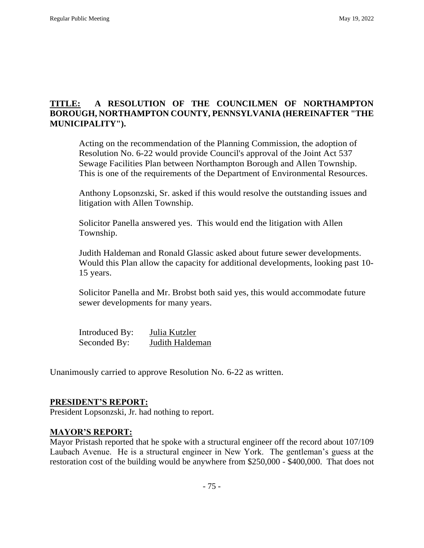## **TITLE: A RESOLUTION OF THE COUNCILMEN OF NORTHAMPTON BOROUGH, NORTHAMPTON COUNTY, PENNSYLVANIA (HEREINAFTER "THE MUNICIPALITY").**

Acting on the recommendation of the Planning Commission, the adoption of Resolution No. 6-22 would provide Council's approval of the Joint Act 537 Sewage Facilities Plan between Northampton Borough and Allen Township. This is one of the requirements of the Department of Environmental Resources.

Anthony Lopsonzski, Sr. asked if this would resolve the outstanding issues and litigation with Allen Township.

Solicitor Panella answered yes. This would end the litigation with Allen Township.

Judith Haldeman and Ronald Glassic asked about future sewer developments. Would this Plan allow the capacity for additional developments, looking past 10- 15 years.

Solicitor Panella and Mr. Brobst both said yes, this would accommodate future sewer developments for many years.

| Introduced By: | Julia Kutzler   |
|----------------|-----------------|
| Seconded By:   | Judith Haldeman |

Unanimously carried to approve Resolution No. 6-22 as written.

## **PRESIDENT'S REPORT:**

President Lopsonzski, Jr. had nothing to report.

#### **MAYOR'S REPORT:**

Mayor Pristash reported that he spoke with a structural engineer off the record about 107/109 Laubach Avenue. He is a structural engineer in New York. The gentleman's guess at the restoration cost of the building would be anywhere from \$250,000 - \$400,000. That does not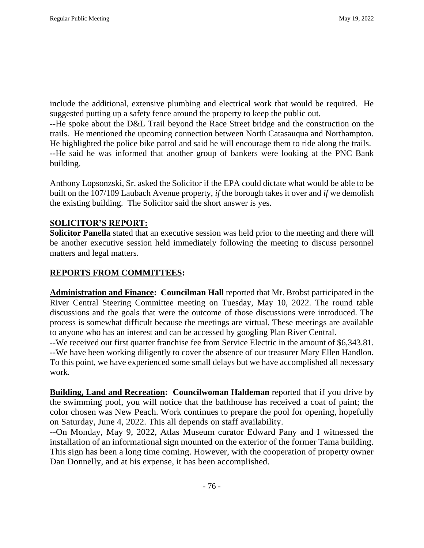include the additional, extensive plumbing and electrical work that would be required. He suggested putting up a safety fence around the property to keep the public out.

--He spoke about the D&L Trail beyond the Race Street bridge and the construction on the trails. He mentioned the upcoming connection between North Catasauqua and Northampton. He highlighted the police bike patrol and said he will encourage them to ride along the trails. --He said he was informed that another group of bankers were looking at the PNC Bank building.

Anthony Lopsonzski, Sr. asked the Solicitor if the EPA could dictate what would be able to be built on the 107/109 Laubach Avenue property, *if* the borough takes it over and *if* we demolish the existing building. The Solicitor said the short answer is yes.

#### **SOLICITOR'S REPORT:**

**Solicitor Panella** stated that an executive session was held prior to the meeting and there will be another executive session held immediately following the meeting to discuss personnel matters and legal matters.

### **REPORTS FROM COMMITTEES:**

**Administration and Finance: Councilman Hall** reported that Mr. Brobst participated in the River Central Steering Committee meeting on Tuesday, May 10, 2022. The round table discussions and the goals that were the outcome of those discussions were introduced. The process is somewhat difficult because the meetings are virtual. These meetings are available to anyone who has an interest and can be accessed by googling Plan River Central.

--We received our first quarter franchise fee from Service Electric in the amount of \$6,343.81. --We have been working diligently to cover the absence of our treasurer Mary Ellen Handlon. To this point, we have experienced some small delays but we have accomplished all necessary work.

**Building, Land and Recreation: Councilwoman Haldeman** reported that if you drive by the swimming pool, you will notice that the bathhouse has received a coat of paint; the color chosen was New Peach. Work continues to prepare the pool for opening, hopefully on Saturday, June 4, 2022. This all depends on staff availability.

--On Monday, May 9, 2022, Atlas Museum curator Edward Pany and I witnessed the installation of an informational sign mounted on the exterior of the former Tama building. This sign has been a long time coming. However, with the cooperation of property owner Dan Donnelly, and at his expense, it has been accomplished.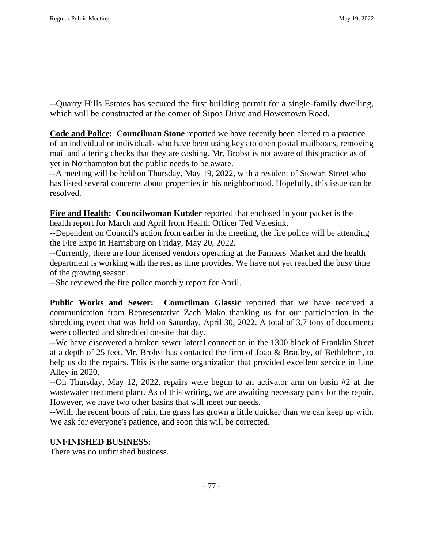--Quarry Hills Estates has secured the first building permit for a single-family dwelling, which will be constructed at the comer of Sipos Drive and Howertown Road.

**Code and Police: Councilman Stone** reported we have recently been alerted to a practice of an individual or individuals who have been using keys to open postal mailboxes, removing mail and altering checks that they are cashing. Mr, Brobst is not aware of this practice as of yet in Northampton but the public needs to be aware.

--A meeting will be held on Thursday, May 19, 2022, with a resident of Stewart Street who has listed several concerns about properties in his neighborhood. Hopefully, this issue can be resolved.

**Fire and Health: Councilwoman Kutzler** reported that enclosed in your packet is the health report for March and April from Health Officer Ted Veresink.

--Dependent on Council's action from earlier in the meeting, the fire police will be attending the Fire Expo in Harrisburg on Friday, May 20, 2022.

--Currently, there are four licensed vendors operating at the Farmers' Market and the health department is working with the rest as time provides. We have not yet reached the busy time of the growing season.

--She reviewed the fire police monthly report for April.

**Public Works and Sewer: Councilman Glassic** reported that we have received a communication from Representative Zach Mako thanking us for our participation in the shredding event that was held on Saturday, April 30, 2022. A total of 3.7 tons of documents were collected and shredded on-site that day.

--We have discovered a broken sewer lateral connection in the 1300 block of Franklin Street at a depth of 25 feet. Mr. Brobst has contacted the firm of Joao & Bradley, of Bethlehem, to help us do the repairs. This is the same organization that provided excellent service in Line Alley in 2020.

--On Thursday, May 12, 2022, repairs were begun to an activator arm on basin #2 at the wastewater treatment plant. As of this writing, we are awaiting necessary parts for the repair. However, we have two other basins that will meet our needs.

--With the recent bouts of rain, the grass has grown a little quicker than we can keep up with. We ask for everyone's patience, and soon this will be corrected.

## **UNFINISHED BUSINESS:**

There was no unfinished business.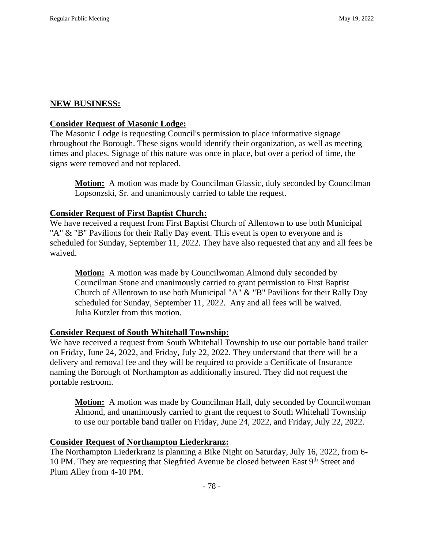#### **NEW BUSINESS:**

#### **Consider Request of Masonic Lodge:**

The Masonic Lodge is requesting Council's permission to place informative signage throughout the Borough. These signs would identify their organization, as well as meeting times and places. Signage of this nature was once in place, but over a period of time, the signs were removed and not replaced.

**Motion:** A motion was made by Councilman Glassic, duly seconded by Councilman Lopsonzski, Sr. and unanimously carried to table the request.

## **Consider Request of First Baptist Church:**

We have received a request from First Baptist Church of Allentown to use both Municipal "A" & "B" Pavilions for their Rally Day event. This event is open to everyone and is scheduled for Sunday, September 11, 2022. They have also requested that any and all fees be waived.

**Motion:** A motion was made by Councilwoman Almond duly seconded by Councilman Stone and unanimously carried to grant permission to First Baptist Church of Allentown to use both Municipal "A" & "B" Pavilions for their Rally Day scheduled for Sunday, September 11, 2022. Any and all fees will be waived. Julia Kutzler from this motion.

## **Consider Request of South Whitehall Township:**

We have received a request from South Whitehall Township to use our portable band trailer on Friday, June 24, 2022, and Friday, July 22, 2022. They understand that there will be a delivery and removal fee and they will be required to provide a Certificate of Insurance naming the Borough of Northampton as additionally insured. They did not request the portable restroom.

**Motion:** A motion was made by Councilman Hall, duly seconded by Councilwoman Almond, and unanimously carried to grant the request to South Whitehall Township to use our portable band trailer on Friday, June 24, 2022, and Friday, July 22, 2022.

## **Consider Request of Northampton Liederkranz:**

The Northampton Liederkranz is planning a Bike Night on Saturday, July 16, 2022, from 6- 10 PM. They are requesting that Siegfried Avenue be closed between East 9<sup>th</sup> Street and Plum Alley from 4-10 PM.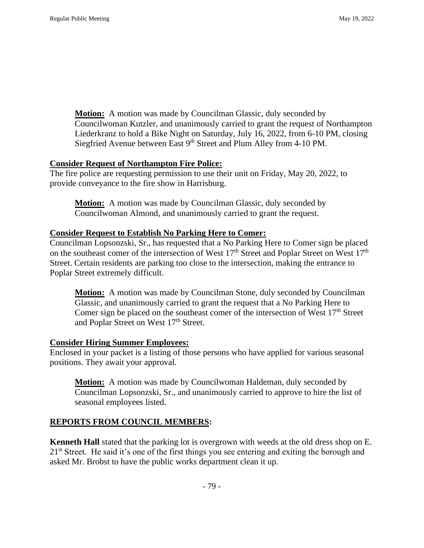**Motion:** A motion was made by Councilman Glassic, duly seconded by Councilwoman Kutzler, and unanimously carried to grant the request of Northampton Liederkranz to hold a Bike Night on Saturday, July 16, 2022, from 6-10 PM, closing Siegfried Avenue between East 9<sup>th</sup> Street and Plum Alley from 4-10 PM.

#### **Consider Request of Northampton Fire Police:**

The fire police are requesting permission to use their unit on Friday, May 20, 2022, to provide conveyance to the fire show in Harrisburg.

**Motion:** A motion was made by Councilman Glassic, duly seconded by Councilwoman Almond, and unanimously carried to grant the request.

#### **Consider Request to Establish No Parking Here to Comer:**

Councilman Lopsonzski, Sr., has requested that a No Parking Here to Comer sign be placed on the southeast comer of the intersection of West 17<sup>th</sup> Street and Poplar Street on West 17<sup>th</sup> Street. Certain residents are parking too close to the intersection, making the entrance to Poplar Street extremely difficult.

**Motion:** A motion was made by Councilman Stone, duly seconded by Councilman Glassic, and unanimously carried to grant the request that a No Parking Here to Comer sign be placed on the southeast comer of the intersection of West  $17<sup>th</sup>$  Street and Poplar Street on West 17<sup>th</sup> Street.

#### **Consider Hiring Summer Employees:**

Enclosed in your packet is a listing of those persons who have applied for various seasonal positions. They await your approval.

**Motion:** A motion was made by Councilwoman Haldeman, duly seconded by Councilman Lopsonzski, Sr., and unanimously carried to approve to hire the list of seasonal employees listed.

#### **REPORTS FROM COUNCIL MEMBERS:**

**Kenneth Hall** stated that the parking lot is overgrown with weeds at the old dress shop on E. 21<sup>st</sup> Street. He said it's one of the first things you see entering and exiting the borough and asked Mr. Brobst to have the public works department clean it up.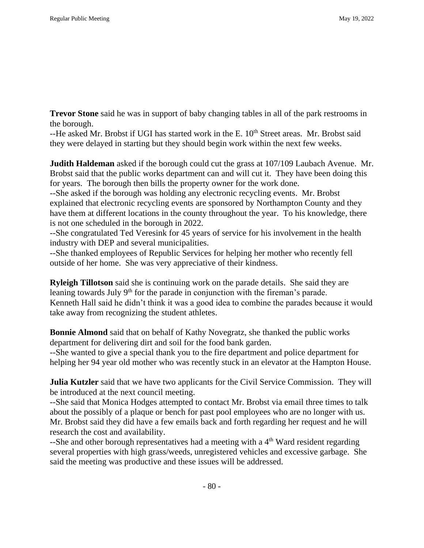**Trevor Stone** said he was in support of baby changing tables in all of the park restrooms in the borough.

--He asked Mr. Brobst if UGI has started work in the E. 10<sup>th</sup> Street areas. Mr. Brobst said they were delayed in starting but they should begin work within the next few weeks.

**Judith Haldeman** asked if the borough could cut the grass at 107/109 Laubach Avenue. Mr. Brobst said that the public works department can and will cut it. They have been doing this for years. The borough then bills the property owner for the work done.

--She asked if the borough was holding any electronic recycling events. Mr. Brobst explained that electronic recycling events are sponsored by Northampton County and they have them at different locations in the county throughout the year. To his knowledge, there is not one scheduled in the borough in 2022.

--She congratulated Ted Veresink for 45 years of service for his involvement in the health industry with DEP and several municipalities.

--She thanked employees of Republic Services for helping her mother who recently fell outside of her home. She was very appreciative of their kindness.

**Ryleigh Tillotson** said she is continuing work on the parade details. She said they are leaning towards July 9<sup>th</sup> for the parade in conjunction with the fireman's parade. Kenneth Hall said he didn't think it was a good idea to combine the parades because it would take away from recognizing the student athletes.

**Bonnie Almond** said that on behalf of Kathy Novegratz, she thanked the public works department for delivering dirt and soil for the food bank garden.

--She wanted to give a special thank you to the fire department and police department for helping her 94 year old mother who was recently stuck in an elevator at the Hampton House.

**Julia Kutzler** said that we have two applicants for the Civil Service Commission. They will be introduced at the next council meeting.

--She said that Monica Hodges attempted to contact Mr. Brobst via email three times to talk about the possibly of a plaque or bench for past pool employees who are no longer with us. Mr. Brobst said they did have a few emails back and forth regarding her request and he will research the cost and availability.

 $-$ She and other borough representatives had a meeting with a  $4<sup>th</sup>$  Ward resident regarding several properties with high grass/weeds, unregistered vehicles and excessive garbage. She said the meeting was productive and these issues will be addressed.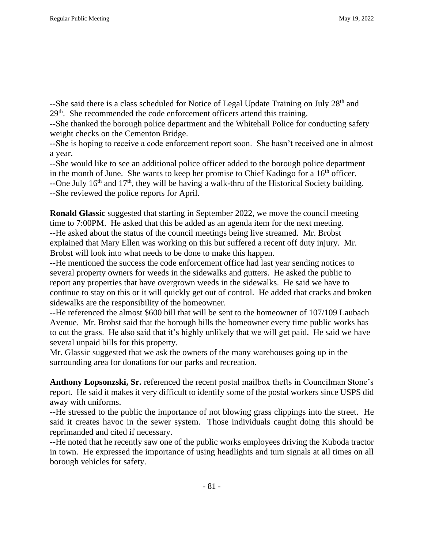--She said there is a class scheduled for Notice of Legal Update Training on July 28<sup>th</sup> and 29<sup>th</sup>. She recommended the code enforcement officers attend this training.

--She thanked the borough police department and the Whitehall Police for conducting safety weight checks on the Cementon Bridge.

--She is hoping to receive a code enforcement report soon. She hasn't received one in almost a year.

--She would like to see an additional police officer added to the borough police department in the month of June. She wants to keep her promise to Chief Kadingo for a  $16<sup>th</sup>$  officer. --One July  $16<sup>th</sup>$  and  $17<sup>th</sup>$ , they will be having a walk-thru of the Historical Society building. --She reviewed the police reports for April.

**Ronald Glassic** suggested that starting in September 2022, we move the council meeting time to 7:00PM. He asked that this be added as an agenda item for the next meeting. --He asked about the status of the council meetings being live streamed. Mr. Brobst explained that Mary Ellen was working on this but suffered a recent off duty injury. Mr. Brobst will look into what needs to be done to make this happen.

--He mentioned the success the code enforcement office had last year sending notices to several property owners for weeds in the sidewalks and gutters. He asked the public to report any properties that have overgrown weeds in the sidewalks. He said we have to continue to stay on this or it will quickly get out of control. He added that cracks and broken sidewalks are the responsibility of the homeowner.

--He referenced the almost \$600 bill that will be sent to the homeowner of 107/109 Laubach Avenue. Mr. Brobst said that the borough bills the homeowner every time public works has to cut the grass. He also said that it's highly unlikely that we will get paid. He said we have several unpaid bills for this property.

Mr. Glassic suggested that we ask the owners of the many warehouses going up in the surrounding area for donations for our parks and recreation.

**Anthony Lopsonzski, Sr.** referenced the recent postal mailbox thefts in Councilman Stone's report. He said it makes it very difficult to identify some of the postal workers since USPS did away with uniforms.

--He stressed to the public the importance of not blowing grass clippings into the street. He said it creates havoc in the sewer system. Those individuals caught doing this should be reprimanded and cited if necessary.

--He noted that he recently saw one of the public works employees driving the Kuboda tractor in town. He expressed the importance of using headlights and turn signals at all times on all borough vehicles for safety.